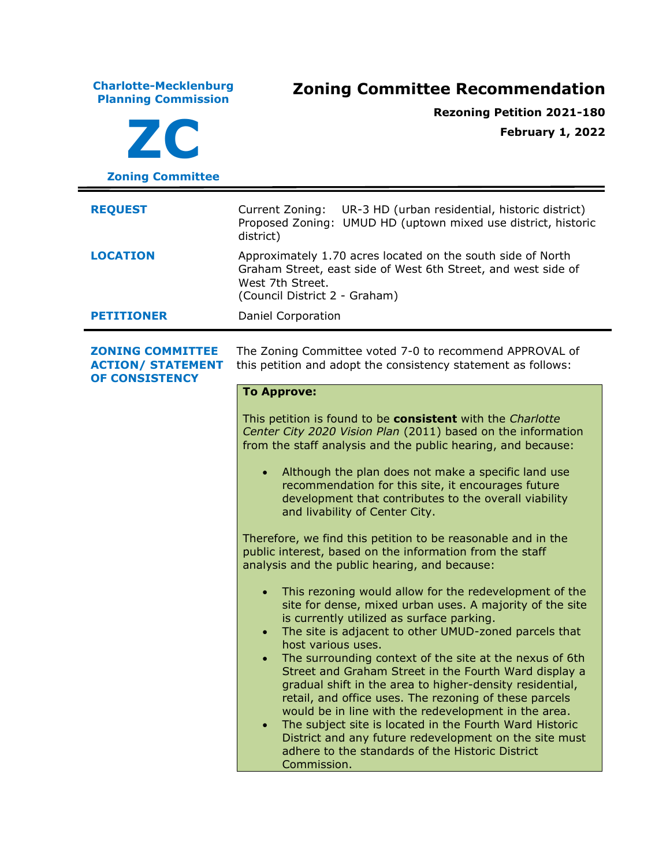| <b>Charlotte-Mecklenburg</b><br><b>Planning Commission</b><br>ZC<br><b>Zoning Committee</b> | <b>Zoning Committee Recommendation</b><br><b>Rezoning Petition 2021-180</b><br><b>February 1, 2022</b>                                                                                                                                                                                                                                                                                                                                                                                                                                                                                                                                                                                                                    |  |
|---------------------------------------------------------------------------------------------|---------------------------------------------------------------------------------------------------------------------------------------------------------------------------------------------------------------------------------------------------------------------------------------------------------------------------------------------------------------------------------------------------------------------------------------------------------------------------------------------------------------------------------------------------------------------------------------------------------------------------------------------------------------------------------------------------------------------------|--|
| <b>REQUEST</b>                                                                              | Current Zoning:<br>UR-3 HD (urban residential, historic district)<br>Proposed Zoning: UMUD HD (uptown mixed use district, historic<br>district)                                                                                                                                                                                                                                                                                                                                                                                                                                                                                                                                                                           |  |
| <b>LOCATION</b>                                                                             | Approximately 1.70 acres located on the south side of North<br>Graham Street, east side of West 6th Street, and west side of<br>West 7th Street.<br>(Council District 2 - Graham)                                                                                                                                                                                                                                                                                                                                                                                                                                                                                                                                         |  |
| <b>PETITIONER</b>                                                                           | Daniel Corporation                                                                                                                                                                                                                                                                                                                                                                                                                                                                                                                                                                                                                                                                                                        |  |
| <b>ZONING COMMITTEE</b><br><b>ACTION/ STATEMENT</b><br><b>OF CONSISTENCY</b>                | The Zoning Committee voted 7-0 to recommend APPROVAL of<br>this petition and adopt the consistency statement as follows:                                                                                                                                                                                                                                                                                                                                                                                                                                                                                                                                                                                                  |  |
|                                                                                             | <b>To Approve:</b><br>This petition is found to be consistent with the Charlotte                                                                                                                                                                                                                                                                                                                                                                                                                                                                                                                                                                                                                                          |  |
|                                                                                             | Center City 2020 Vision Plan (2011) based on the information<br>from the staff analysis and the public hearing, and because:                                                                                                                                                                                                                                                                                                                                                                                                                                                                                                                                                                                              |  |
|                                                                                             | Although the plan does not make a specific land use<br>$\bullet$<br>recommendation for this site, it encourages future<br>development that contributes to the overall viability<br>and livability of Center City.                                                                                                                                                                                                                                                                                                                                                                                                                                                                                                         |  |
|                                                                                             | Therefore, we find this petition to be reasonable and in the<br>public interest, based on the information from the staff<br>analysis and the public hearing, and because:                                                                                                                                                                                                                                                                                                                                                                                                                                                                                                                                                 |  |
|                                                                                             | This rezoning would allow for the redevelopment of the<br>$\bullet$<br>site for dense, mixed urban uses. A majority of the site<br>is currently utilized as surface parking.<br>The site is adjacent to other UMUD-zoned parcels that<br>$\bullet$<br>host various uses.<br>The surrounding context of the site at the nexus of 6th<br>$\bullet$<br>Street and Graham Street in the Fourth Ward display a<br>gradual shift in the area to higher-density residential,<br>retail, and office uses. The rezoning of these parcels<br>would be in line with the redevelopment in the area.<br>The subject site is located in the Fourth Ward Historic<br>$\bullet$<br>District and any future redevelopment on the site must |  |